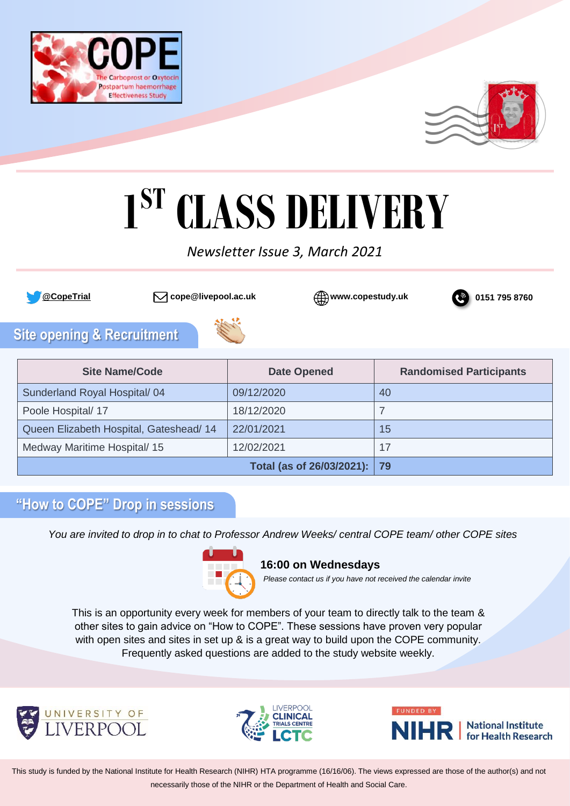



# **1 ST CLASS DELIVERY**

# *Newsletter Issue 3, March 2021*







# **Site opening & Recruitment**



| <b>Site Name/Code</b>                   | <b>Date Opened</b>             | <b>Randomised Participants</b> |
|-----------------------------------------|--------------------------------|--------------------------------|
| Sunderland Royal Hospital/04            | 09/12/2020                     | 40                             |
| Poole Hospital/ 17                      | 18/12/2020                     |                                |
| Queen Elizabeth Hospital, Gateshead/ 14 | 22/01/2021                     | 15                             |
| Medway Maritime Hospital/ 15            | 12/02/2021                     | 17                             |
|                                         | Total (as of 26/03/2021):   79 |                                |

## **"How to COPE" Drop in sessions**

*You are invited to drop in to chat to Professor Andrew Weeks/ central COPE team/ other COPE sites*



#### **16:00 on Wednesdays**

*Please contact us if you have not received the calendar invite*

This is an opportunity every week for members of your team to directly talk to the team & other sites to gain advice on "How to COPE". These sessions have proven very popular with open sites and sites in set up & is a great way to build upon the COPE community. Frequently asked questions are added to the study website weekly.





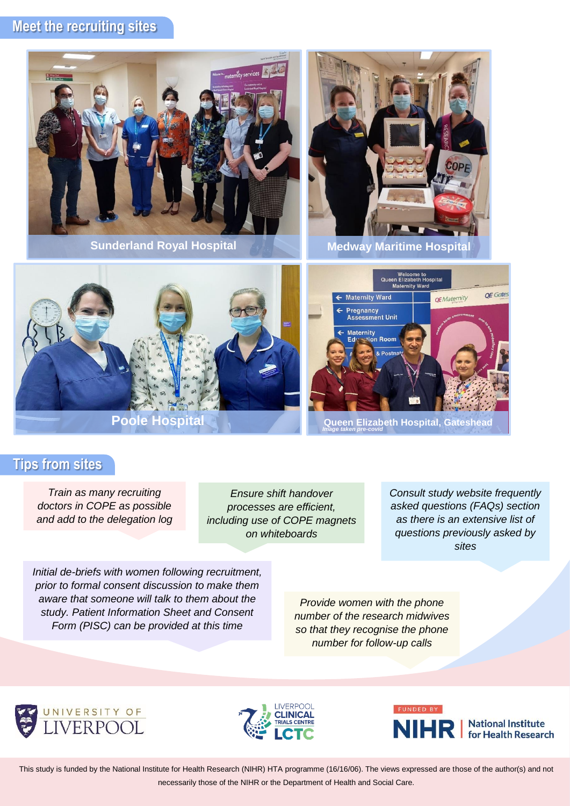## **Meet the recruiting sites**



## **Tips from sites**

*Train as many recruiting doctors in COPE as possible and add to the delegation log*

*Ensure shift handover processes are efficient, including use of COPE magnets on whiteboards*

*Consult study website frequently asked questions (FAQs) section as there is an extensive list of questions previously asked by sites*

*Initial de-briefs with women following recruitment, prior to formal consent discussion to make them aware that someone will talk to them about the study. Patient Information Sheet and Consent Form (PISC) can be provided at this time*

*Provide women with the phone number of the research midwives so that they recognise the phone number for follow-up calls*





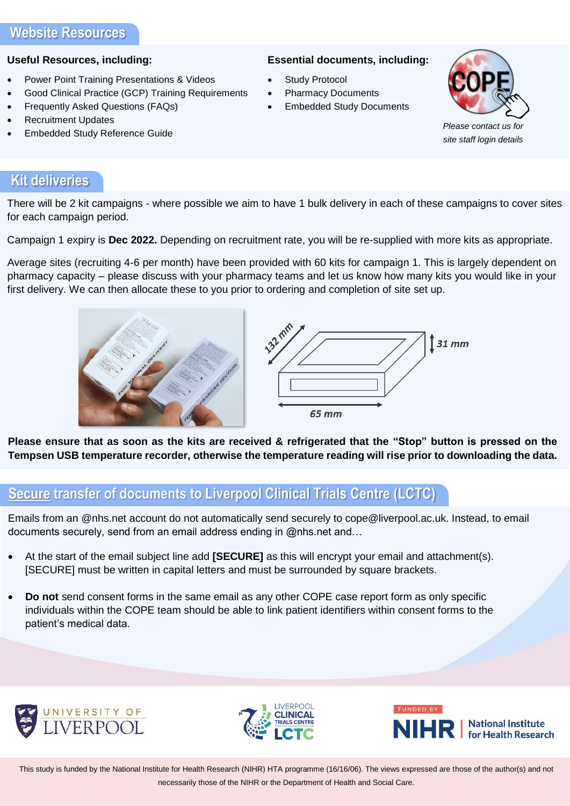#### **Useful Resources, including:**

- Power Point Training Presentations & Videos
- Good Clinical Practice (GCP) Training Requirements
- Frequently Asked Questions (FAQs)
- **Recruitment Updates**
- Embedded Study Reference Guide

#### **Essential documents, including:**

- Study Protocol
- Pharmacy Documents
- **Embedded Study Documents**



*[Please contact us for](http://www.copestudy.uk/)  site staff login details*

## **Kit deliveries**

There will be 2 kit campaigns - where possible we aim to have 1 bulk delivery in each of these campaigns to cover sites for each campaign period.

Campaign 1 expiry is **Dec 2022.** Depending on recruitment rate, you will be re-supplied with more kits as appropriate.

Average sites (recruiting 4-6 per month) have been provided with 60 kits for campaign 1. This is largely dependent on pharmacy capacity – please discuss with your pharmacy teams and let us know how many kits you would like in your first delivery. We can then allocate these to you prior to ordering and completion of site set up.





**Please ensure that as soon as the kits are received & refrigerated that the "Stop" button is pressed on the Tempsen USB temperature recorder, otherwise the temperature reading will rise prior to downloading the data.**

## **Secure transfer of documents to Liverpool Clinical Trials Centre (LCTC)**

Emails from an @nhs.net account do not automatically send securely to cope@liverpool.ac.uk. Instead, to email documents securely, send from an email address ending in @nhs.net and…

- At the start of the email subject line add **[SECURE]** as this will encrypt your email and attachment(s). [SECURE] must be written in capital letters and must be surrounded by square brackets.
- **Do not** send consent forms in the same email as any other COPE case report form as only specific individuals within the COPE team should be able to link patient identifiers within consent forms to the patient's medical data.